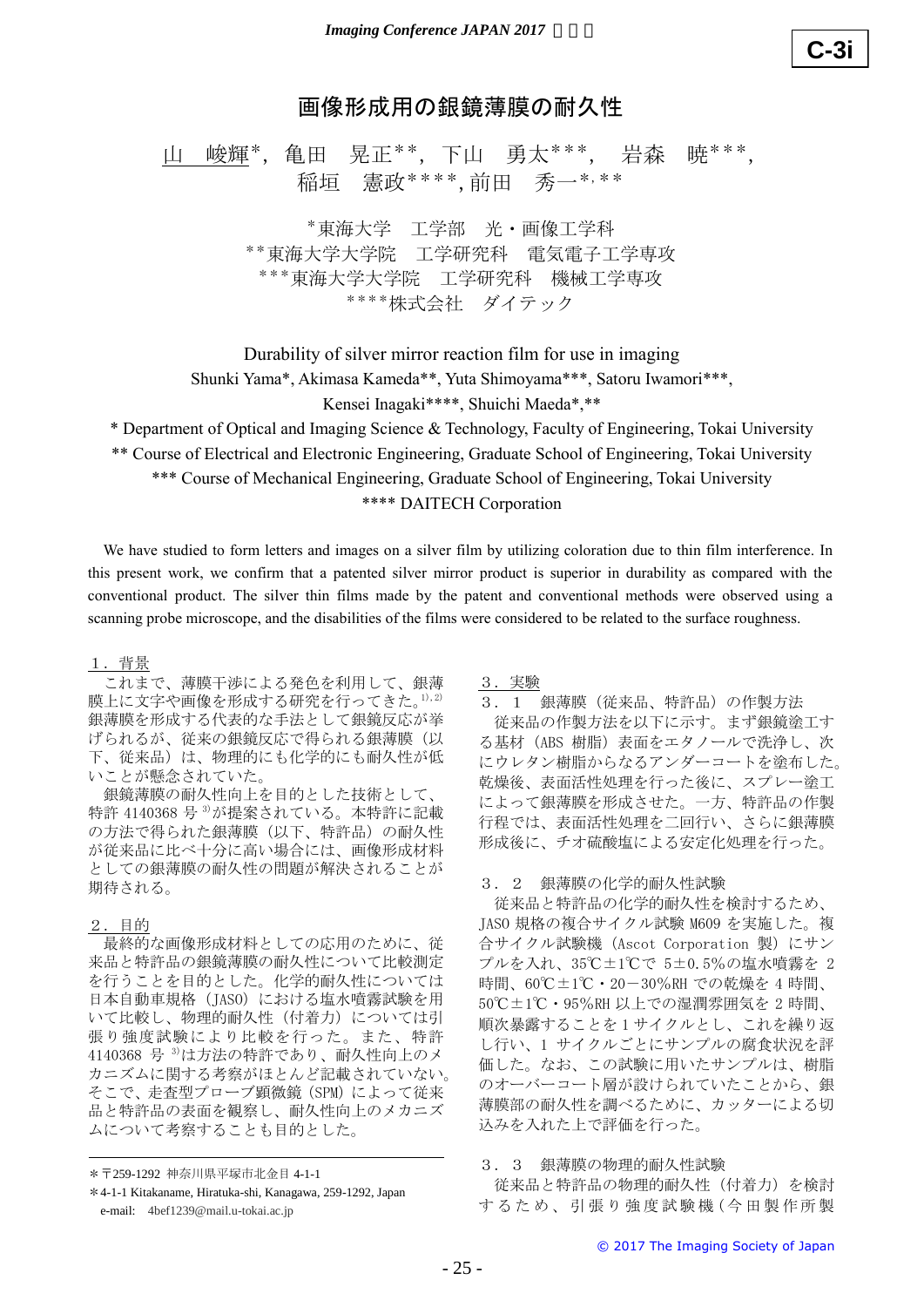# 画像形成用の銀鏡薄膜の耐久性

山 峻輝\*, 亀田 晃正\*\*, 下山 勇太\*\*\*, 岩森 暁\*\*\*, 稲垣 憲政\*\*\*\*,前田 秀一\*,\*\*

> \*東海大学 工学部 光・画像工学科 \*\*東海大学大学院 工学研究科 電気電子工学専攻 \*\*\*東海大学大学院 工学研究科 機械工学専攻 \*\*\*\*株式会社 ダイテック

Durability of silver mirror reaction film for use in imaging

Shunki Yama\*, Akimasa Kameda\*\*, Yuta Shimoyama\*\*\*, Satoru Iwamori\*\*\*,

Kensei Inagaki\*\*\*\*, Shuichi Maeda\*,\*\*

\* Department of Optical and Imaging Science & Technology, Faculty of Engineering, Tokai University

\*\* Course of Electrical and Electronic Engineering, Graduate School of Engineering, Tokai University

\*\*\* Course of Mechanical Engineering, Graduate School of Engineering, Tokai University

## \*\*\*\* DAITECH Corporation

We have studied to form letters and images on a silver film by utilizing coloration due to thin film interference. In this present work, we confirm that a patented silver mirror product is superior in durability as compared with the conventional product. The silver thin films made by the patent and conventional methods were observed using a scanning probe microscope, and the disabilities of the films were considered to be related to the surface roughness.

### 1.背景

これまで、薄膜干渉による発色を利用して、銀薄 膜上に文字や画像を形成する研究を行ってきた。1),2) 銀薄膜を形成する代表的な手法として銀鏡反応が挙 げられるが、従来の銀鏡反応で得られる銀薄膜(以 下、従来品)は、物理的にも化学的にも耐久性が低 いことが懸念されていた。

銀鏡薄膜の耐久性向上を目的とした技術として、 特許 4140368 号 3)が提案されている。本特許に記載 の方法で得られた銀薄膜(以下、特許品)の耐久性 が従来品に比べ十分に高い場合には、画像形成材料 としての銀薄膜の耐久性の問題が解決されることが 期待される。

### 2.目的

最終的な画像形成材料としての応用のために、従 来品と特許品の銀鏡薄膜の耐久性について比較測定 を行うことを目的とした。化学的耐久性については 日本自動車規格 (JASO)における塩水噴霧試験を用 いて比較し、物理的耐久性(付着力)については引 張り強度試験により比較を行った。また、特許 4140368 号 3)は方法の特許であり、耐久性向上のメ カニズムに関する考察がほとんど記載されていない。 そこで、走査型プローブ顕微鏡 (SPM) によって従来 品と特許品の表面を観察し、耐久性向上のメカニズ ムについて考察することも目的とした。

### 3.実験

3.1 銀薄膜(従来品、特許品)の作製方法

従来品の作製方法を以下に示す。まず銀鏡塗工す る基材(ABS 樹脂)表面をエタノールで洗浄し、次 にウレタン樹脂からなるアンダーコートを塗布した。 乾燥後、表面活性処理を行った後に、スプレー塗工 によって銀薄膜を形成させた。一方、特許品の作製 行程では、表面活性処理を二回行い、さらに銀薄膜 形成後に、チオ硫酸塩による安定化処理を行った。

#### 3.2 銀薄膜の化学的耐久性試験

従来品と特許品の化学的耐久性を検討するため、 JASO 規格の複合サイクル試験 M609 を実施した。複 合サイクル試験機(Ascot Corporation 製)にサン プルを入れ、35℃±1℃で 5±0.5%の塩水噴霧を 2 時間、60℃±1℃・20-30%RH での乾燥を 4 時間、 50℃±1℃・95%RH 以上での湿潤雰囲気を 2 時間、 順次暴露することを1サイクルとし、これを繰り返 し行い、1 サイクルごとにサンプルの腐食状況を評 価した。なお、この試験に用いたサンプルは、樹脂 のオーバーコート層が設けられていたことから、銀 薄膜部の耐久性を調べるために、カッターによる切 込みを入れた上で評価を行った。 **【生**<br>- 岩森 暁\*\*\*,<br>\*\* 平学専攻<br>In imaging between the Imaging New Hapan Society of Japan<br>In imaging Society of Diagnosis (Figure Interaction Figure Interaction Figure Interaction of Figure Interaction<br>In durability as compared

## 3.3 銀薄膜の物理的耐久性試験

従来品と特許品の物理的耐久性(付着力)を検討 す る た め 、 引 張 り 強 度 試 験 機 ( 今 田 製 作 所 製

<sup>\*〒</sup>259-1292 神奈川県平塚市北金目 4-1-1

<sup>\*</sup>4-1-1 Kitakaname, Hiratuka-shi, Kanagawa, 259-1292, Japan e-mail: 4bef1239@mail.u-tokai.ac.jp